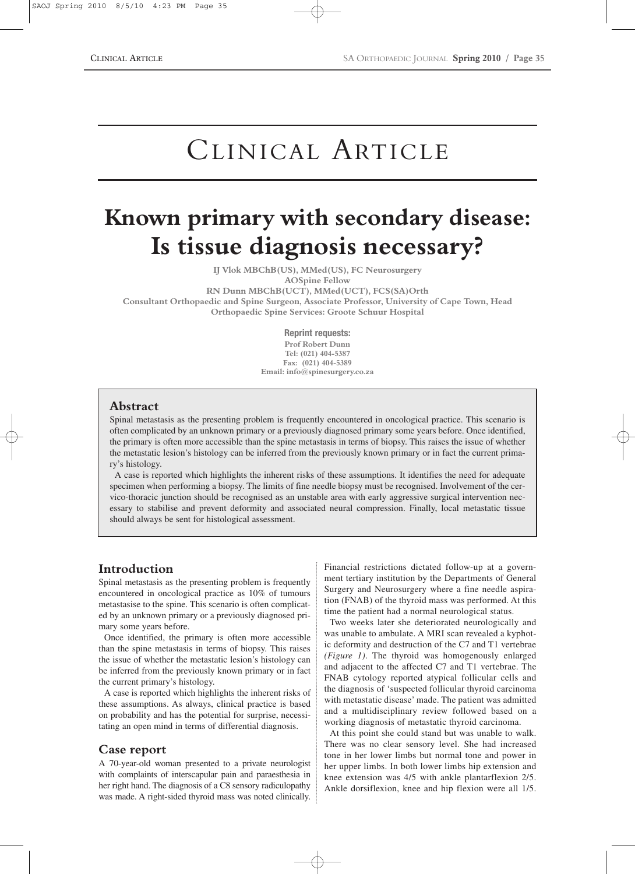# CLINICAL ARTICLE

## **Known primary with secondary disease: Is tissue diagnosis necessary?**

**IJ Vlok MBChB(US), MMed(US), FC Neurosurgery**

```
AOSpine Fellow
```
**RN Dunn MBChB(UCT), MMed(UCT), FCS(SA)Orth**

**Consultant Orthopaedic and Spine Surgeon, Associate Professor, University of Cape Town, Head Orthopaedic Spine Services: Groote Schuur Hospital**

**Reprint requests:**

**Prof Robert Dunn Tel: (021) 404-5387 Fax: (021) 404-5389 Email: info@spinesurgery.co.za**

#### **Abstract**

Spinal metastasis as the presenting problem is frequently encountered in oncological practice. This scenario is often complicated by an unknown primary or a previously diagnosed primary some years before. Once identified, the primary is often more accessible than the spine metastasis in terms of biopsy. This raises the issue of whether the metastatic lesion's histology can be inferred from the previously known primary or in fact the current primary's histology.

A case is reported which highlights the inherent risks of these assumptions. It identifies the need for adequate specimen when performing a biopsy. The limits of fine needle biopsy must be recognised. Involvement of the cervico-thoracic junction should be recognised as an unstable area with early aggressive surgical intervention necessary to stabilise and prevent deformity and associated neural compression. Finally, local metastatic tissue should always be sent for histological assessment.

## **Introduction**

Spinal metastasis as the presenting problem is frequently encountered in oncological practice as 10% of tumours metastasise to the spine. This scenario is often complicated by an unknown primary or a previously diagnosed primary some years before.

Once identified, the primary is often more accessible than the spine metastasis in terms of biopsy. This raises the issue of whether the metastatic lesion's histology can be inferred from the previously known primary or in fact the current primary's histology.

A case is reported which highlights the inherent risks of these assumptions. As always, clinical practice is based on probability and has the potential for surprise, necessitating an open mind in terms of differential diagnosis.

#### **Case report**

A 70-year-old woman presented to a private neurologist with complaints of interscapular pain and paraesthesia in her right hand. The diagnosis of a C8 sensory radiculopathy was made. A right-sided thyroid mass was noted clinically. Financial restrictions dictated follow-up at a government tertiary institution by the Departments of General Surgery and Neurosurgery where a fine needle aspiration (FNAB) of the thyroid mass was performed. At this time the patient had a normal neurological status.

Two weeks later she deteriorated neurologically and was unable to ambulate. A MRI scan revealed a kyphotic deformity and destruction of the C7 and T1 vertebrae *(Figure 1)*. The thyroid was homogenously enlarged and adjacent to the affected C7 and T1 vertebrae. The FNAB cytology reported atypical follicular cells and the diagnosis of 'suspected follicular thyroid carcinoma with metastatic disease' made. The patient was admitted and a multidisciplinary review followed based on a working diagnosis of metastatic thyroid carcinoma.

At this point she could stand but was unable to walk. There was no clear sensory level. She had increased tone in her lower limbs but normal tone and power in her upper limbs. In both lower limbs hip extension and knee extension was 4/5 with ankle plantarflexion 2/5. Ankle dorsiflexion, knee and hip flexion were all 1/5.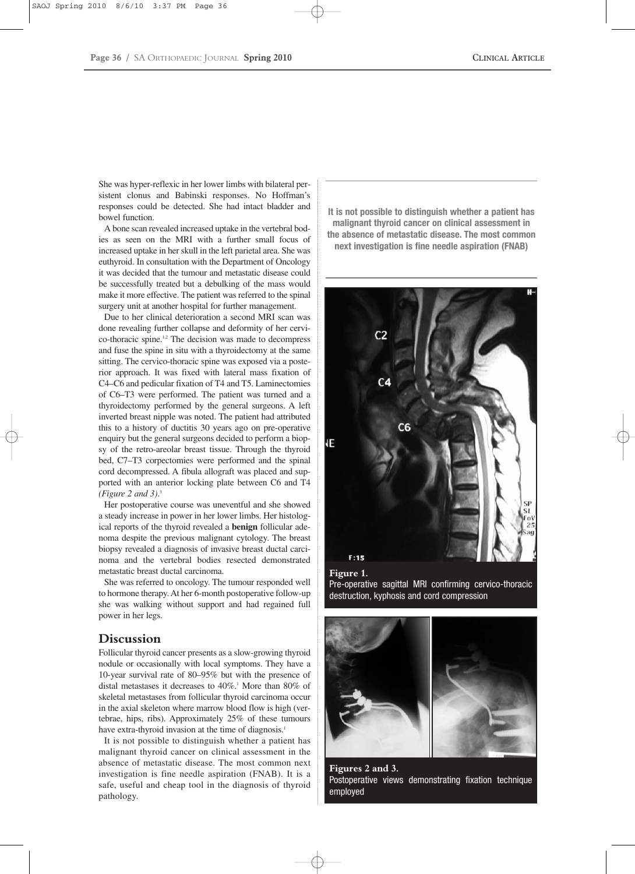She was hyper-reflexic in her lower limbs with bilateral persistent clonus and Babinski responses. No Hoffman's responses could be detected. She had intact bladder and bowel function.

A bone scan revealed increased uptake in the vertebral bodies as seen on the MRI with a further small focus of increased uptake in her skull in the left parietal area. She was euthyroid. In consultation with the Department of Oncology it was decided that the tumour and metastatic disease could be successfully treated but a debulking of the mass would make it more effective. The patient was referred to the spinal surgery unit at another hospital for further management.

Due to her clinical deterioration a second MRI scan was done revealing further collapse and deformity of her cervico-thoracic spine.1,2 The decision was made to decompress and fuse the spine in situ with a thyroidectomy at the same sitting. The cervico-thoracic spine was exposed via a posterior approach. It was fixed with lateral mass fixation of C4–C6 and pedicular fixation of T4 and T5. Laminectomies of C6–T3 were performed. The patient was turned and a thyroidectomy performed by the general surgeons. A left inverted breast nipple was noted. The patient had attributed this to a history of ductitis 30 years ago on pre-operative enquiry but the general surgeons decided to perform a biopsy of the retro-areolar breast tissue. Through the thyroid bed, C7–T3 corpectomies were performed and the spinal cord decompressed. A fibula allograft was placed and supported with an anterior locking plate between C6 and T4 *(Figure 2 and 3)*. 3

Her postoperative course was uneventful and she showed a steady increase in power in her lower limbs. Her histological reports of the thyroid revealed a **benign** follicular adenoma despite the previous malignant cytology. The breast biopsy revealed a diagnosis of invasive breast ductal carcinoma and the vertebral bodies resected demonstrated metastatic breast ductal carcinoma.

She was referred to oncology. The tumour responded well to hormone therapy. At her 6-month postoperative follow-up she was walking without support and had regained full power in her legs.

#### **Discussion**

Follicular thyroid cancer presents as a slow-growing thyroid nodule or occasionally with local symptoms. They have a 10-year survival rate of 80–95% but with the presence of distal metastases it decreases to  $40\%$ .<sup>1</sup> More than 80% of skeletal metastases from follicular thyroid carcinoma occur in the axial skeleton where marrow blood flow is high (vertebrae, hips, ribs). Approximately 25% of these tumours have extra-thyroid invasion at the time of diagnosis.<sup>1</sup>

It is not possible to distinguish whether a patient has malignant thyroid cancer on clinical assessment in the absence of metastatic disease. The most common next investigation is fine needle aspiration (FNAB). It is a safe, useful and cheap tool in the diagnosis of thyroid pathology.

**It is not possible to distinguish whether a patient has malignant thyroid cancer on clinical assessment in the absence of metastatic disease. The most common next investigation is fine needle aspiration (FNAB)**



#### **Figure 1.**

Pre-operative sagittal MRI confirming cervico-thoracic destruction, kyphosis and cord compression



**Figures 2 and 3.**  Postoperative views demonstrating fixation technique employed